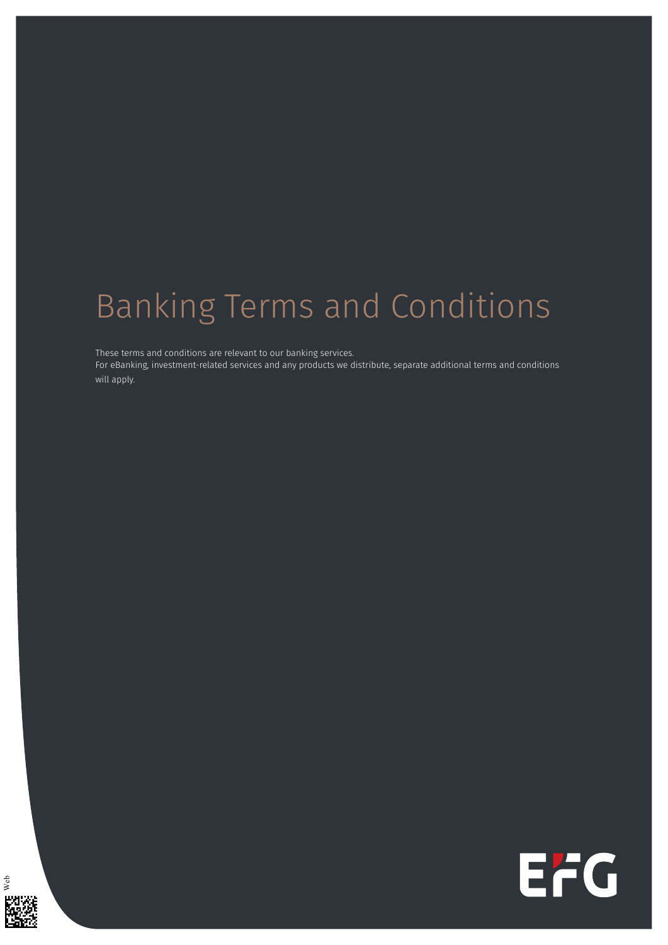## Banking Terms and Conditions

These terms and conditions are relevant to our banking services.

For eBanking, investment-related services and any products we distribute, separate additional terms and conditions will apply.



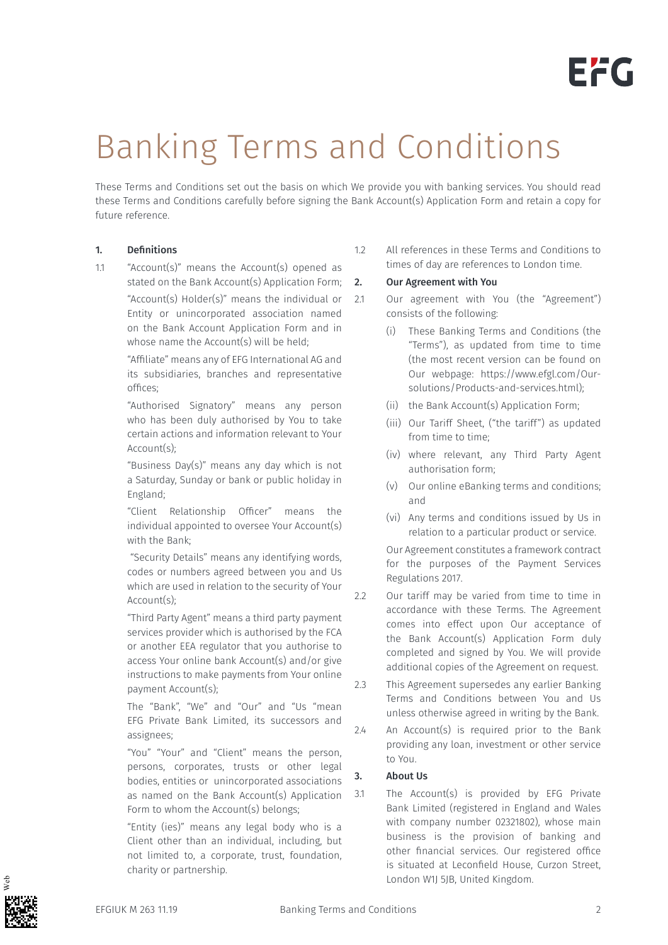## Banking Terms and Conditions

These Terms and Conditions set out the basis on which We provide you with banking services. You should read these Terms and Conditions carefully before signing the Bank Account(s) Application Form and retain a copy for future reference.

#### 1. Definitions

1.1 "Account(s)" means the Account(s) opened as stated on the Bank Account(s) Application Form;

> "Account(s) Holder(s)" means the individual or Entity or unincorporated association named on the Bank Account Application Form and in whose name the Account(s) will be held;

"Affiliate" means any of EFG International AG and its subsidiaries, branches and representative offices;

"Authorised Signatory" means any person who has been duly authorised by You to take certain actions and information relevant to Your Account(s);

"Business Day(s)" means any day which is not a Saturday, Sunday or bank or public holiday in England;

"Client Relationship Officer" means the individual appointed to oversee Your Account(s) with the Bank;

"Security Details" means any identifying words, codes or numbers agreed between you and Us which are used in relation to the security of Your Account(s);

"Third Party Agent" means a third party payment services provider which is authorised by the FCA or another EEA regulator that you authorise to access Your online bank Account(s) and/or give instructions to make payments from Your online payment Account(s);

The "Bank", "We" and "Our" and "Us "mean EFG Private Bank Limited, its successors and assignees;

"You" "Your" and "Client" means the person, persons, corporates, trusts or other legal bodies, entities or unincorporated associations as named on the Bank Account(s) Application Form to whom the Account(s) belongs:

"Entity (ies)" means any legal body who is a Client other than an individual, including, but not limited to, a corporate, trust, foundation, charity or partnership.

1.2 All references in these Terms and Conditions to times of day are references to London time.

#### 2. Our Agreement with You

- 2.1 Our agreement with You (the "Agreement") consists of the following:
	- (i) These Banking Terms and Conditions (the "Terms"), as updated from time to time (the most recent version can be found on Our webpage: https://www.efgl.com/Oursolutions/Products-and-services.html);
	- (ii) the Bank Account(s) Application Form;
	- (iii) Our Tariff Sheet, ("the tariff") as updated from time to time;
	- (iv) where relevant, any Third Party Agent authorisation form;
	- (v) Our online eBanking terms and conditions; and
	- (vi) Any terms and conditions issued by Us in relation to a particular product or service.

Our Agreement constitutes a framework contract for the purposes of the Payment Services Regulations 2017.

- 2.2 Our tariff may be varied from time to time in accordance with these Terms. The Agreement comes into effect upon Our acceptance of the Bank Account(s) Application Form duly completed and signed by You. We will provide additional copies of the Agreement on request.
- 2.3 This Agreement supersedes any earlier Banking Terms and Conditions between You and Us unless otherwise agreed in writing by the Bank.
- 2.4 An Account(s) is required prior to the Bank providing any loan, investment or other service to You.

#### 3. About Us

3.1 The Account(s) is provided by EFG Private Bank Limited (registered in England and Wales with company number 02321802), whose main business is the provision of banking and other financial services. Our registered office is situated at Leconfield House, Curzon Street, London W1J 5JB, United Kingdom.

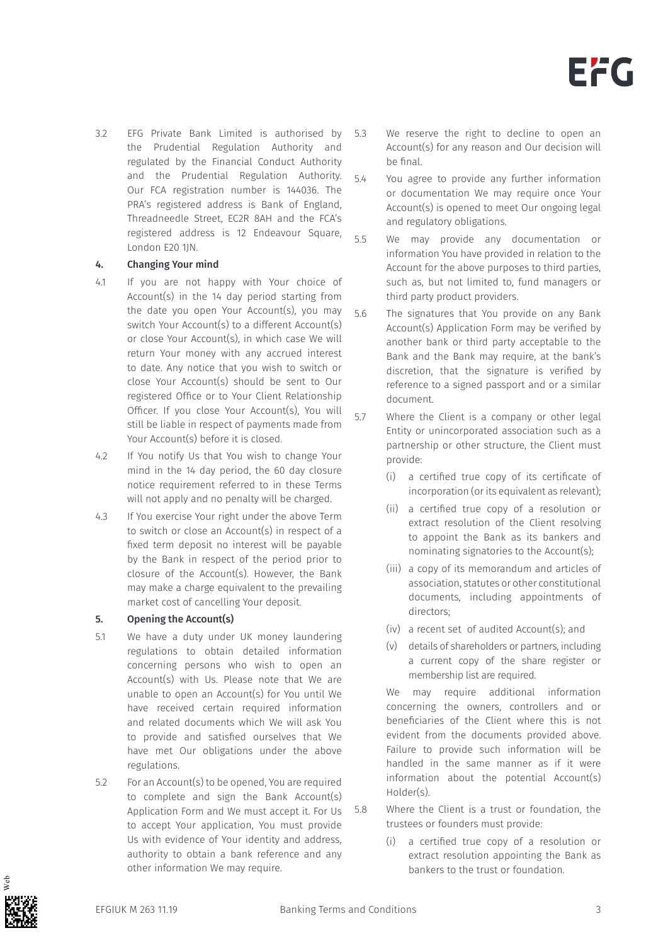3.2 EFG Private Bank Limited is authorised by the Prudential Regulation Authority and regulated by the Financial Conduct Authority and the Prudential Regulation Authority. Our FCA registration number is 144036. The PRA's registered address is Bank of England, Threadneedle Street, EC2R 8AH and the FCA's registered address is 12 Endeavour Square, London E20 1JN.

#### 4. Changing Your mind

- 4.1 If you are not happy with Your choice of Account(s) in the 14 day period starting from the date you open Your Account(s), you may switch Your Account(s) to a different Account(s) or close Your Account(s), in which case We will return Your money with any accrued interest to date. Any notice that you wish to switch or close Your Account(s) should be sent to Our registered Office or to Your Client Relationship Officer. If you close Your Account(s), You will still be liable in respect of payments made from Your Account(s) before it is closed.
- 4.2 If You notify Us that You wish to change Your mind in the 14 day period, the 60 day closure notice requirement referred to in these Terms will not apply and no penalty will be charged.
- 4.3 If You exercise Your right under the above Term to switch or close an Account(s) in respect of a fixed term deposit no interest will be payable by the Bank in respect of the period prior to closure of the Account(s). However, the Bank may make a charge equivalent to the prevailing market cost of cancelling Your deposit.

#### 5. Opening the Account(s)

- 5.1 We have a duty under UK money laundering regulations to obtain detailed information concerning persons who wish to open an Account(s) with Us. Please note that We are unable to open an Account(s) for You until We have received certain required information and related documents which We will ask You to provide and satisfied ourselves that We have met Our obligations under the above regulations.
- 5.2 For an Account(s) to be opened, You are required to complete and sign the Bank Account(s) Application Form and We must accept it. For Us to accept Your application, You must provide Us with evidence of Your identity and address, authority to obtain a bank reference and any other information We may require.
- 5.3 We reserve the right to decline to open an Account(s) for any reason and Our decision will be final.
- 5.4 You agree to provide any further information or documentation We may require once Your Account(s) is opened to meet Our ongoing legal and regulatory obligations.
- 5.5 We may provide any documentation or information You have provided in relation to the Account for the above purposes to third parties, such as, but not limited to, fund managers or third party product providers.
- 5.6 The signatures that You provide on any Bank Account(s) Application Form may be verified by another bank or third party acceptable to the Bank and the Bank may require, at the bank's discretion, that the signature is verified by reference to a signed passport and or a similar document.
- 5.7 Where the Client is a company or other legal Entity or unincorporated association such as a partnership or other structure, the Client must provide:
	- (i) a certified true copy of its certificate of incorporation (or its equivalent as relevant);
	- (ii) a certified true copy of a resolution or extract resolution of the Client resolving to appoint the Bank as its bankers and nominating signatories to the Account(s);
	- (iii) a copy of its memorandum and articles of association, statutes or other constitutional documents, including appointments of directors;
	- (iv) a recent set of audited Account(s); and
	- (v) details of shareholders or partners, including a current copy of the share register or membership list are required.

We may require additional information concerning the owners, controllers and or beneficiaries of the Client where this is not evident from the documents provided above. Failure to provide such information will be handled in the same manner as if it were information about the potential Account(s) Holder(s).

- 5.8 Where the Client is a trust or foundation, the trustees or founders must provide:
	- (i) a certified true copy of a resolution or extract resolution appointing the Bank as bankers to the trust or foundation.

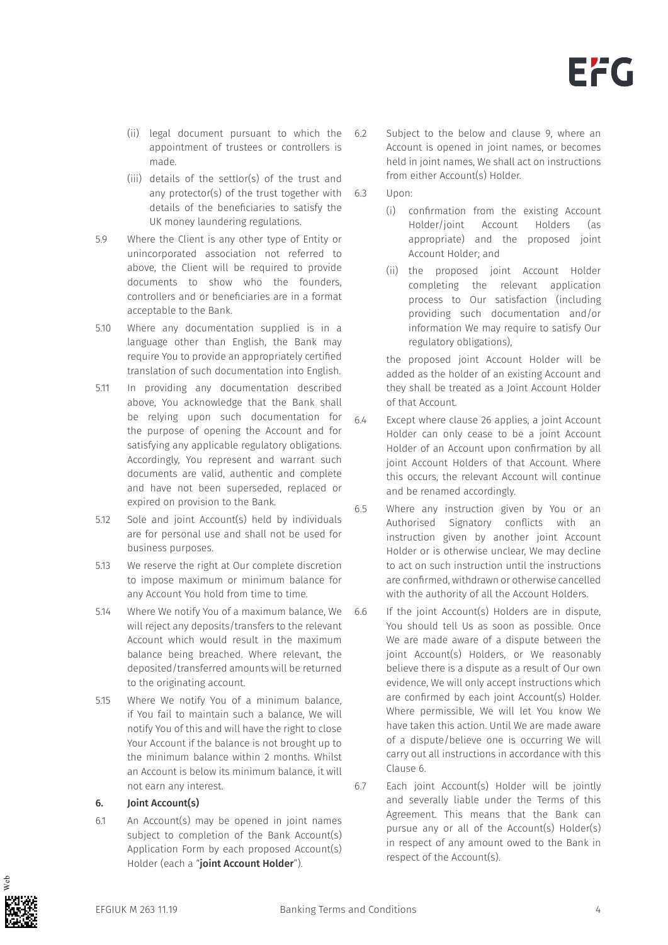

- (ii) legal document pursuant to which the appointment of trustees or controllers is made.
- (iii) details of the settlor(s) of the trust and any protector(s) of the trust together with  $6.3$ details of the beneficiaries to satisfy the UK money laundering regulations.
- 5.9 Where the Client is any other type of Entity or unincorporated association not referred to above, the Client will be required to provide documents to show who the founders, controllers and or beneficiaries are in a format acceptable to the Bank.
- 5.10 Where any documentation supplied is in a language other than English, the Bank may require You to provide an appropriately certified translation of such documentation into English.
- 5.11 In providing any documentation described above, You acknowledge that the Bank shall be relying upon such documentation for the purpose of opening the Account and for satisfying any applicable regulatory obligations. Accordingly, You represent and warrant such documents are valid, authentic and complete and have not been superseded, replaced or expired on provision to the Bank.
- 5.12 Sole and joint Account(s) held by individuals are for personal use and shall not be used for business purposes.
- 5.13 We reserve the right at Our complete discretion to impose maximum or minimum balance for any Account You hold from time to time.
- 5.14 Where We notify You of a maximum balance, We will reject any deposits/transfers to the relevant Account which would result in the maximum balance being breached. Where relevant, the deposited/transferred amounts will be returned to the originating account.
- 5.15 Where We notify You of a minimum balance, if You fail to maintain such a balance, We will notify You of this and will have the right to close Your Account if the balance is not brought up to the minimum balance within 2 months. Whilst an Account is below its minimum balance, it will not earn any interest.

## 6. Joint Account(s)

6.1 An Account(s) may be opened in joint names subject to completion of the Bank Account(s) Application Form by each proposed Account(s) Holder (each a "joint Account Holder").

- Subject to the below and clause 9, where an Account is opened in joint names, or becomes held in joint names, We shall act on instructions from either Account(s) Holder.
- Upon:
	- (i) confirmation from the existing Account Holder/joint Account Holders (as appropriate) and the proposed joint Account Holder; and
	- (ii) the proposed joint Account Holder completing the relevant application process to Our satisfaction (including providing such documentation and/or information We may require to satisfy Our regulatory obligations),

the proposed joint Account Holder will be added as the holder of an existing Account and they shall be treated as a Joint Account Holder of that Account.

- 6.4 Except where clause 26 applies, a joint Account Holder can only cease to be a joint Account Holder of an Account upon confirmation by all joint Account Holders of that Account. Where this occurs, the relevant Account will continue and be renamed accordingly.
- 6.5 Where any instruction given by You or an Authorised Signatory conflicts with an instruction given by another joint Account Holder or is otherwise unclear, We may decline to act on such instruction until the instructions are confirmed, withdrawn or otherwise cancelled with the authority of all the Account Holders.
- 6.6 If the joint Account(s) Holders are in dispute, You should tell Us as soon as possible. Once We are made aware of a dispute between the joint Account(s) Holders, or We reasonably believe there is a dispute as a result of Our own evidence, We will only accept instructions which are confirmed by each joint Account(s) Holder. Where permissible, We will let You know We have taken this action. Until We are made aware of a dispute/believe one is occurring We will carry out all instructions in accordance with this Clause 6.
- 6.7 Each joint Account(s) Holder will be jointly and severally liable under the Terms of this Agreement. This means that the Bank can pursue any or all of the Account(s) Holder(s) in respect of any amount owed to the Bank in respect of the Account(s).

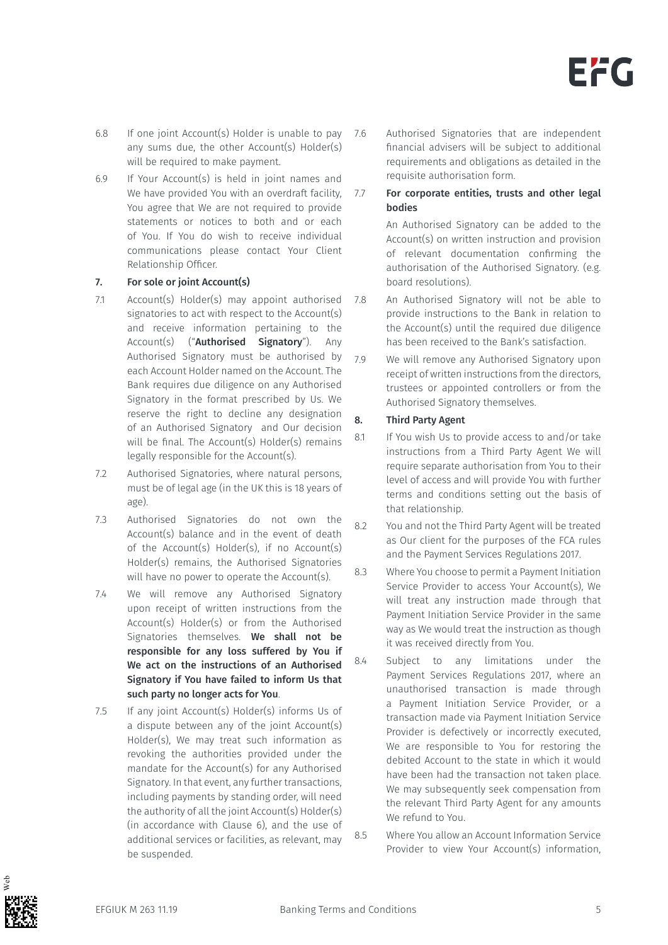

- 6.8 If one joint Account(s) Holder is unable to pay any sums due, the other Account(s) Holder(s) will be required to make payment.
- 6.9 If Your Account(s) is held in joint names and We have provided You with an overdraft facility, 7.7 You agree that We are not required to provide statements or notices to both and or each of You. If You do wish to receive individual communications please contact Your Client Relationship Officer.

## 7. For sole or joint Account(s)

- 7.1 Account(s) Holder(s) may appoint authorised signatories to act with respect to the Account(s) and receive information pertaining to the Account(s) ("**Authorised Signatory**"). Any Authorised Signatory must be authorised by each Account Holder named on the Account. The Bank requires due diligence on any Authorised Signatory in the format prescribed by Us. We reserve the right to decline any designation of an Authorised Signatory and Our decision will be final. The Account(s) Holder(s) remains legally responsible for the Account(s).
- 7.2 Authorised Signatories, where natural persons, must be of legal age (in the UK this is 18 years of age).
- 7.3 Authorised Signatories do not own the Account(s) balance and in the event of death of the Account(s) Holder(s), if no Account(s) Holder(s) remains, the Authorised Signatories will have no power to operate the Account(s).
- 7.4 We will remove any Authorised Signatory upon receipt of written instructions from the Account(s) Holder(s) or from the Authorised Signatories themselves. We shall not be responsible for any loss suffered by You if We act on the instructions of an Authorised Signatory if You have failed to inform Us that such party no longer acts for You.
- 7.5 If any joint Account(s) Holder(s) informs Us of a dispute between any of the joint Account(s) Holder(s), We may treat such information as revoking the authorities provided under the mandate for the Account(s) for any Authorised Signatory. In that event, any further transactions, including payments by standing order, will need the authority of all the joint Account(s) Holder(s) (in accordance with Clause 6), and the use of additional services or facilities, as relevant, may be suspended.
- 7.6 Authorised Signatories that are independent financial advisers will be subject to additional requirements and obligations as detailed in the requisite authorisation form.
	- For corporate entities, trusts and other legal bodies

An Authorised Signatory can be added to the Account(s) on written instruction and provision of relevant documentation confirming the authorisation of the Authorised Signatory. (e.g. board resolutions).

- 7.8 An Authorised Signatory will not be able to provide instructions to the Bank in relation to the Account(s) until the required due diligence has been received to the Bank's satisfaction.
- 7.9 We will remove any Authorised Signatory upon receipt of written instructions from the directors, trustees or appointed controllers or from the Authorised Signatory themselves.

## 8. Third Party Agent

- 8.1 If You wish Us to provide access to and/or take instructions from a Third Party Agent We will require separate authorisation from You to their level of access and will provide You with further terms and conditions setting out the basis of that relationship.
- 8.2 You and not the Third Party Agent will be treated as Our client for the purposes of the FCA rules and the Payment Services Regulations 2017.
- 8.3 Where You choose to permit a Payment Initiation Service Provider to access Your Account(s), We will treat any instruction made through that Payment Initiation Service Provider in the same way as We would treat the instruction as though it was received directly from You.
- 8.4 Subject to any limitations under the Payment Services Regulations 2017, where an unauthorised transaction is made through a Payment Initiation Service Provider, or a transaction made via Payment Initiation Service Provider is defectively or incorrectly executed, We are responsible to You for restoring the debited Account to the state in which it would have been had the transaction not taken place. We may subsequently seek compensation from the relevant Third Party Agent for any amounts We refund to You.
- 8.5 Where You allow an Account Information Service Provider to view Your Account(s) information,

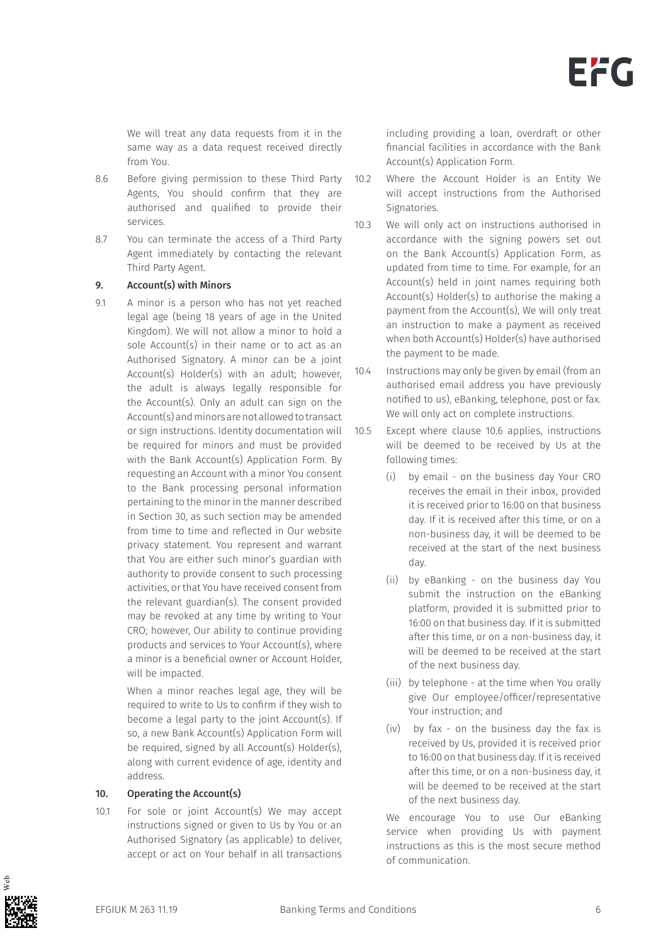We will treat any data requests from it in the same way as a data request received directly from You.

- 8.6 Before giving permission to these Third Party Agents, You should confirm that they are authorised and qualified to provide their services.
- 8.7 You can terminate the access of a Third Party Agent immediately by contacting the relevant Third Party Agent.

#### 9. Account(s) with Minors

9.1 A minor is a person who has not yet reached legal age (being 18 years of age in the United Kingdom). We will not allow a minor to hold a sole Account(s) in their name or to act as an Authorised Signatory. A minor can be a joint Account(s) Holder(s) with an adult; however, the adult is always legally responsible for the Account(s). Only an adult can sign on the Account(s) and minors are not allowed to transact or sign instructions. Identity documentation will be required for minors and must be provided with the Bank Account(s) Application Form. By requesting an Account with a minor You consent to the Bank processing personal information pertaining to the minor in the manner described in Section 30, as such section may be amended from time to time and reflected in Our website privacy statement. You represent and warrant that You are either such minor's guardian with authority to provide consent to such processing activities, or that You have received consent from the relevant guardian(s). The consent provided may be revoked at any time by writing to Your CRO; however, Our ability to continue providing products and services to Your Account(s), where a minor is a beneficial owner or Account Holder, will be impacted.

> When a minor reaches legal age, they will be required to write to Us to confirm if they wish to become a legal party to the joint Account(s). If so, a new Bank Account(s) Application Form will be required, signed by all Account(s) Holder(s), along with current evidence of age, identity and address.

#### 10. Operating the Account(s)

10.1 For sole or joint Account(s) We may accept instructions signed or given to Us by You or an Authorised Signatory (as applicable) to deliver, accept or act on Your behalf in all transactions

including providing a loan, overdraft or other financial facilities in accordance with the Bank Account(s) Application Form.

- 10.2 Where the Account Holder is an Entity We will accept instructions from the Authorised Signatories.
- 10.3 We will only act on instructions authorised in accordance with the signing powers set out on the Bank Account(s) Application Form, as updated from time to time. For example, for an Account(s) held in joint names requiring both Account(s) Holder(s) to authorise the making a payment from the Account(s), We will only treat an instruction to make a payment as received when both Account(s) Holder(s) have authorised the payment to be made.
- 10.4 Instructions may only be given by email (from an authorised email address you have previously notified to us), eBanking, telephone, post or fax. We will only act on complete instructions.
- 10.5 Except where clause 10.6 applies, instructions will be deemed to be received by Us at the following times:
	- (i) by email on the business day Your CRO receives the email in their inbox, provided it is received prior to 16:00 on that business day. If it is received after this time, or on a non-business day, it will be deemed to be received at the start of the next business day.
	- (ii) by eBanking on the business day You submit the instruction on the eBanking platform, provided it is submitted prior to 16:00 on that business day. If it is submitted after this time, or on a non-business day, it will be deemed to be received at the start of the next business day.
	- (iii) by telephone at the time when You orally give Our employee/officer/representative Your instruction; and
	- (iv) by fax on the business day the fax is received by Us, provided it is received prior to 16:00 on that business day. If it is received after this time, or on a non-business day, it will be deemed to be received at the start of the next business day.

We encourage You to use Our eBanking service when providing Us with payment instructions as this is the most secure method of communication.

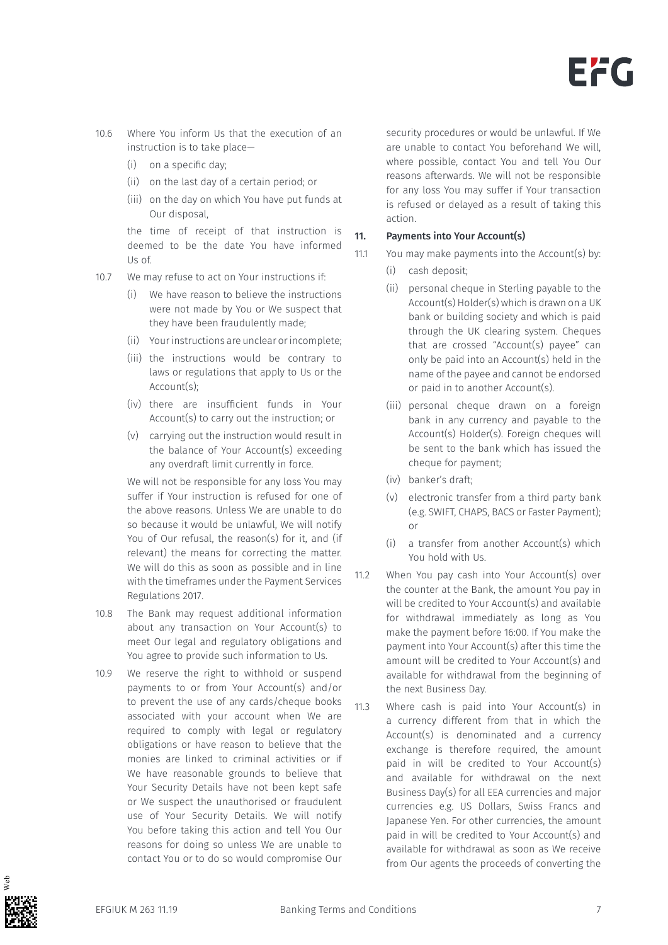

- 10.6 Where You inform Us that the execution of an instruction is to take place—
	- (i) on a specific day;
	- (ii) on the last day of a certain period; or
	- (iii) on the day on which You have put funds at Our disposal,

the time of receipt of that instruction is deemed to be the date You have informed Us of.

- 10.7 We may refuse to act on Your instructions if:
	- (i) We have reason to believe the instructions were not made by You or We suspect that they have been fraudulently made;
	- (ii) Your instructions are unclear or incomplete;
	- (iii) the instructions would be contrary to laws or regulations that apply to Us or the Account(s);
	- (iv) there are insufficient funds in Your Account(s) to carry out the instruction; or
	- (v) carrying out the instruction would result in the balance of Your Account(s) exceeding any overdraft limit currently in force.

We will not be responsible for any loss You may suffer if Your instruction is refused for one of the above reasons. Unless We are unable to do so because it would be unlawful, We will notify You of Our refusal, the reason(s) for it, and (if relevant) the means for correcting the matter. We will do this as soon as possible and in line with the timeframes under the Payment Services Regulations 2017.

- 10.8 The Bank may request additional information about any transaction on Your Account(s) to meet Our legal and regulatory obligations and You agree to provide such information to Us.
- 10.9 We reserve the right to withhold or suspend payments to or from Your Account(s) and/or to prevent the use of any cards/cheque books associated with your account when We are required to comply with legal or regulatory obligations or have reason to believe that the monies are linked to criminal activities or if We have reasonable grounds to believe that Your Security Details have not been kept safe or We suspect the unauthorised or fraudulent use of Your Security Details. We will notify You before taking this action and tell You Our reasons for doing so unless We are unable to contact You or to do so would compromise Our

security procedures or would be unlawful. If We are unable to contact You beforehand We will, where possible, contact You and tell You Our reasons afterwards. We will not be responsible for any loss You may suffer if Your transaction is refused or delayed as a result of taking this action.

#### 11. Payments into Your Account(s)

- 11.1 You may make payments into the Account(s) by:
	- (i) cash deposit;
	- (ii) personal cheque in Sterling payable to the Account(s) Holder(s) which is drawn on a UK bank or building society and which is paid through the UK clearing system. Cheques that are crossed "Account(s) payee" can only be paid into an Account(s) held in the name of the payee and cannot be endorsed or paid in to another Account(s).
	- (iii) personal cheque drawn on a foreign bank in any currency and payable to the Account(s) Holder(s). Foreign cheques will be sent to the bank which has issued the cheque for payment;
	- (iv) banker's draft;
	- (v) electronic transfer from a third party bank (e.g. SWIFT, CHAPS, BACS or Faster Payment); or
	- (i) a transfer from another Account(s) which You hold with Us.
- 11.2 When You pay cash into Your Account(s) over the counter at the Bank, the amount You pay in will be credited to Your Account(s) and available for withdrawal immediately as long as You make the payment before 16:00. If You make the payment into Your Account(s) after this time the amount will be credited to Your Account(s) and available for withdrawal from the beginning of the next Business Day.
- 11.3 Where cash is paid into Your Account(s) in a currency different from that in which the Account(s) is denominated and a currency exchange is therefore required, the amount paid in will be credited to Your Account(s) and available for withdrawal on the next Business Day(s) for all EEA currencies and major currencies e.g. US Dollars, Swiss Francs and Japanese Yen. For other currencies, the amount paid in will be credited to Your Account(s) and available for withdrawal as soon as We receive from Our agents the proceeds of converting the

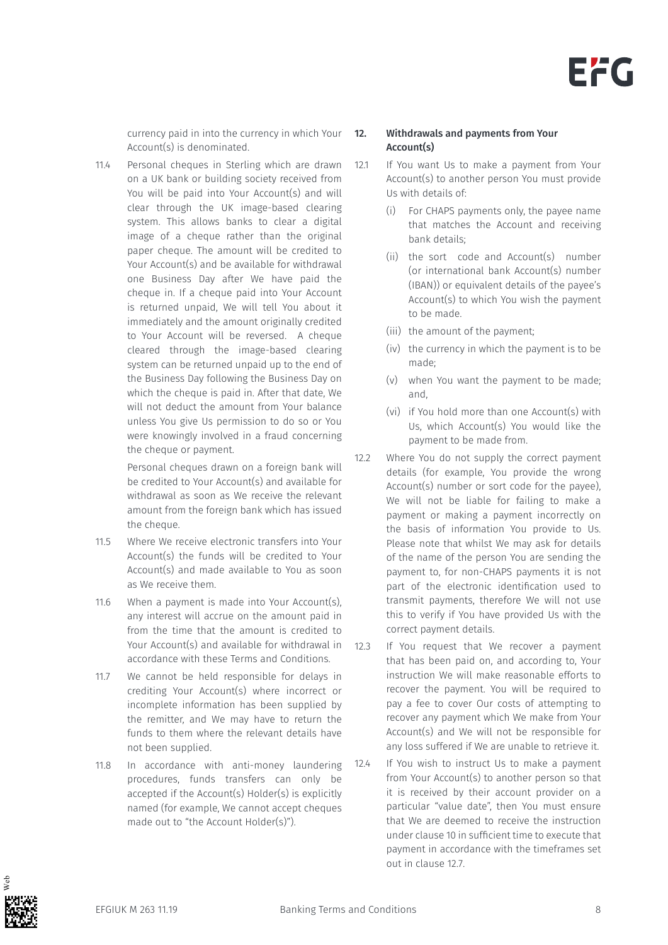currency paid in into the currency in which Your Account(s) is denominated.

11.4 Personal cheques in Sterling which are drawn on a UK bank or building society received from You will be paid into Your Account(s) and will clear through the UK image-based clearing system. This allows banks to clear a digital image of a cheque rather than the original paper cheque. The amount will be credited to Your Account(s) and be available for withdrawal one Business Day after We have paid the cheque in. If a cheque paid into Your Account is returned unpaid, We will tell You about it immediately and the amount originally credited to Your Account will be reversed. A cheque cleared through the image-based clearing system can be returned unpaid up to the end of the Business Day following the Business Day on which the cheque is paid in. After that date, We will not deduct the amount from Your balance unless You give Us permission to do so or You were knowingly involved in a fraud concerning the cheque or payment.

> Personal cheques drawn on a foreign bank will be credited to Your Account(s) and available for withdrawal as soon as We receive the relevant amount from the foreign bank which has issued the cheque.

- 11.5 Where We receive electronic transfers into Your Account(s) the funds will be credited to Your Account(s) and made available to You as soon as We receive them.
- 11.6 When a payment is made into Your Account(s), any interest will accrue on the amount paid in from the time that the amount is credited to Your Account(s) and available for withdrawal in accordance with these Terms and Conditions.
- 11.7 We cannot be held responsible for delays in crediting Your Account(s) where incorrect or incomplete information has been supplied by the remitter, and We may have to return the funds to them where the relevant details have not been supplied.
- 11.8 In accordance with anti-money laundering procedures, funds transfers can only be accepted if the Account(s) Holder(s) is explicitly named (for example, We cannot accept cheques made out to "the Account Holder(s)").

### 12. Withdrawals and payments from Your Account(s)

- 12.1 If You want Us to make a payment from Your Account(s) to another person You must provide Us with details of:
	- (i) For CHAPS payments only, the payee name that matches the Account and receiving bank details;
	- (ii) the sort code and Account(s) number (or international bank Account(s) number (IBAN)) or equivalent details of the payee's Account(s) to which You wish the payment to be made.
	- (iii) the amount of the payment;
	- (iv) the currency in which the payment is to be made;
	- (v) when You want the payment to be made; and,
	- (vi) if You hold more than one Account(s) with Us, which Account(s) You would like the payment to be made from.
- 12.2 Where You do not supply the correct payment details (for example, You provide the wrong Account(s) number or sort code for the payee), We will not be liable for failing to make a payment or making a payment incorrectly on the basis of information You provide to Us. Please note that whilst We may ask for details of the name of the person You are sending the payment to, for non-CHAPS payments it is not part of the electronic identification used to transmit payments, therefore We will not use this to verify if You have provided Us with the correct payment details.
- 12.3 If You request that We recover a payment that has been paid on, and according to, Your instruction We will make reasonable efforts to recover the payment. You will be required to pay a fee to cover Our costs of attempting to recover any payment which We make from Your Account(s) and We will not be responsible for any loss suffered if We are unable to retrieve it.
- 12.4 If You wish to instruct Us to make a payment from Your Account(s) to another person so that it is received by their account provider on a particular "value date", then You must ensure that We are deemed to receive the instruction under clause 10 in sufficient time to execute that payment in accordance with the timeframes set out in clause 12.7.

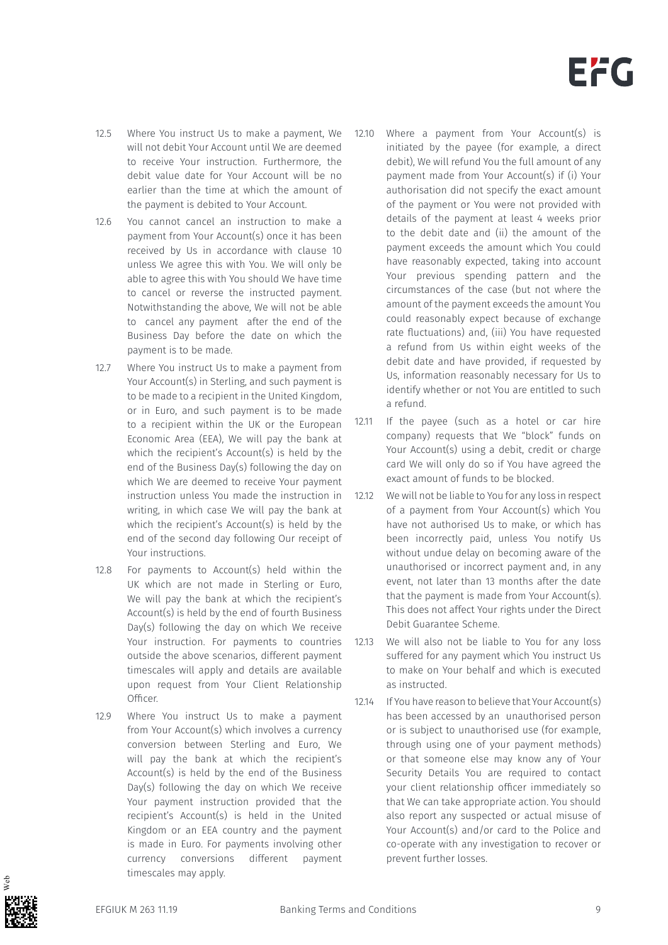- 12.5 Where You instruct Us to make a payment, We will not debit Your Account until We are deemed to receive Your instruction. Furthermore, the debit value date for Your Account will be no earlier than the time at which the amount of the payment is debited to Your Account.
- 12.6 You cannot cancel an instruction to make a payment from Your Account(s) once it has been received by Us in accordance with clause 10 unless We agree this with You. We will only be able to agree this with You should We have time to cancel or reverse the instructed payment. Notwithstanding the above, We will not be able to cancel any payment after the end of the Business Day before the date on which the payment is to be made.
- 12.7 Where You instruct Us to make a payment from Your Account(s) in Sterling, and such payment is to be made to a recipient in the United Kingdom, or in Euro, and such payment is to be made to a recipient within the UK or the European Economic Area (EEA), We will pay the bank at which the recipient's Account(s) is held by the end of the Business Day(s) following the day on which We are deemed to receive Your payment instruction unless You made the instruction in writing, in which case We will pay the bank at which the recipient's Account(s) is held by the end of the second day following Our receipt of Your instructions.
- 12.8 For payments to Account(s) held within the UK which are not made in Sterling or Euro, We will pay the bank at which the recipient's Account(s) is held by the end of fourth Business Day(s) following the day on which We receive Your instruction. For payments to countries outside the above scenarios, different payment timescales will apply and details are available upon request from Your Client Relationship Officer.
- 12.9 Where You instruct Us to make a payment from Your Account(s) which involves a currency conversion between Sterling and Euro, We will pay the bank at which the recipient's Account(s) is held by the end of the Business Day(s) following the day on which We receive Your payment instruction provided that the recipient's Account(s) is held in the United Kingdom or an EEA country and the payment is made in Euro. For payments involving other currency conversions different payment timescales may apply.
- 12.10 Where a payment from Your Account(s) is initiated by the payee (for example, a direct debit), We will refund You the full amount of any payment made from Your Account(s) if (i) Your authorisation did not specify the exact amount of the payment or You were not provided with details of the payment at least 4 weeks prior to the debit date and (ii) the amount of the payment exceeds the amount which You could have reasonably expected, taking into account Your previous spending pattern and the circumstances of the case (but not where the amount of the payment exceeds the amount You could reasonably expect because of exchange rate fluctuations) and, (iii) You have requested a refund from Us within eight weeks of the debit date and have provided, if requested by Us, information reasonably necessary for Us to identify whether or not You are entitled to such a refund.
- 12.11 If the payee (such as a hotel or car hire company) requests that We "block" funds on Your Account(s) using a debit, credit or charge card We will only do so if You have agreed the exact amount of funds to be blocked.
- 12.12 We will not be liable to You for any loss in respect of a payment from Your Account(s) which You have not authorised Us to make, or which has been incorrectly paid, unless You notify Us without undue delay on becoming aware of the unauthorised or incorrect payment and, in any event, not later than 13 months after the date that the payment is made from Your Account(s). This does not affect Your rights under the Direct Debit Guarantee Scheme.
- 12.13 We will also not be liable to You for any loss suffered for any payment which You instruct Us to make on Your behalf and which is executed as instructed.
- 12.14 If You have reason to believe that Your Account(s) has been accessed by an unauthorised person or is subject to unauthorised use (for example, through using one of your payment methods) or that someone else may know any of Your Security Details You are required to contact your client relationship officer immediately so that We can take appropriate action. You should also report any suspected or actual misuse of Your Account(s) and/or card to the Police and co-operate with any investigation to recover or prevent further losses.

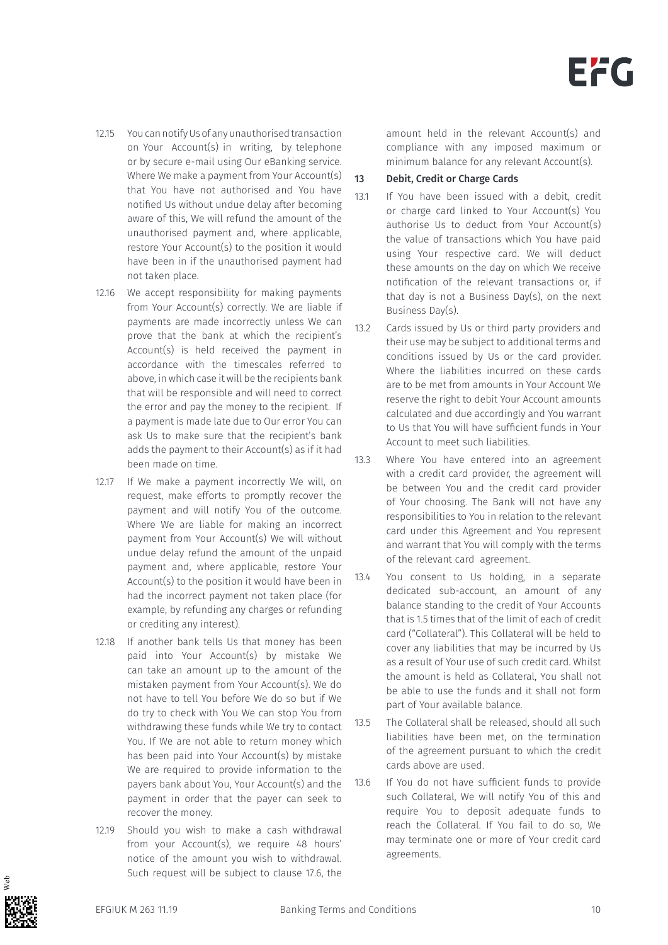- 12.15 You can notify Us of any unauthorised transaction on Your Account(s) in writing, by telephone or by secure e-mail using Our eBanking service. Where We make a payment from Your Account(s) that You have not authorised and You have notified Us without undue delay after becoming aware of this, We will refund the amount of the unauthorised payment and, where applicable, restore Your Account(s) to the position it would have been in if the unauthorised payment had not taken place.
- 12.16 We accept responsibility for making payments from Your Account(s) correctly. We are liable if payments are made incorrectly unless We can prove that the bank at which the recipient's Account(s) is held received the payment in accordance with the timescales referred to above, in which case it will be the recipients bank that will be responsible and will need to correct the error and pay the money to the recipient. If a payment is made late due to Our error You can ask Us to make sure that the recipient's bank adds the payment to their Account(s) as if it had been made on time.
- 12.17 If We make a payment incorrectly We will, on request, make efforts to promptly recover the payment and will notify You of the outcome. Where We are liable for making an incorrect payment from Your Account(s) We will without undue delay refund the amount of the unpaid payment and, where applicable, restore Your Account(s) to the position it would have been in had the incorrect payment not taken place (for example, by refunding any charges or refunding or crediting any interest).
- 12.18 If another bank tells Us that money has been paid into Your Account(s) by mistake We can take an amount up to the amount of the mistaken payment from Your Account(s). We do not have to tell You before We do so but if We do try to check with You We can stop You from withdrawing these funds while We try to contact You. If We are not able to return money which has been paid into Your Account(s) by mistake We are required to provide information to the payers bank about You, Your Account(s) and the payment in order that the payer can seek to recover the money.
- 12.19 Should you wish to make a cash withdrawal from your Account(s), we require 48 hours' notice of the amount you wish to withdrawal. Such request will be subject to clause 17.6, the

amount held in the relevant Account(s) and compliance with any imposed maximum or minimum balance for any relevant Account(s).

#### 13 Debit, Credit or Charge Cards

- 13.1 If You have been issued with a debit, credit or charge card linked to Your Account(s) You authorise Us to deduct from Your Account(s) the value of transactions which You have paid using Your respective card. We will deduct these amounts on the day on which We receive notification of the relevant transactions or, if that day is not a Business Day(s), on the next Business Day(s).
- 13.2 Cards issued by Us or third party providers and their use may be subject to additional terms and conditions issued by Us or the card provider. Where the liabilities incurred on these cards are to be met from amounts in Your Account We reserve the right to debit Your Account amounts calculated and due accordingly and You warrant to Us that You will have sufficient funds in Your Account to meet such liabilities.
- 13.3 Where You have entered into an agreement with a credit card provider, the agreement will be between You and the credit card provider of Your choosing. The Bank will not have any responsibilities to You in relation to the relevant card under this Agreement and You represent and warrant that You will comply with the terms of the relevant card agreement.
- 13.4 You consent to Us holding, in a separate dedicated sub-account, an amount of any balance standing to the credit of Your Accounts that is 1.5 times that of the limit of each of credit card ("Collateral"). This Collateral will be held to cover any liabilities that may be incurred by Us as a result of Your use of such credit card. Whilst the amount is held as Collateral, You shall not be able to use the funds and it shall not form part of Your available balance.
- 13.5 The Collateral shall be released, should all such liabilities have been met, on the termination of the agreement pursuant to which the credit cards above are used.
- 13.6 If You do not have sufficient funds to provide such Collateral, We will notify You of this and require You to deposit adequate funds to reach the Collateral. If You fail to do so, We may terminate one or more of Your credit card agreements.

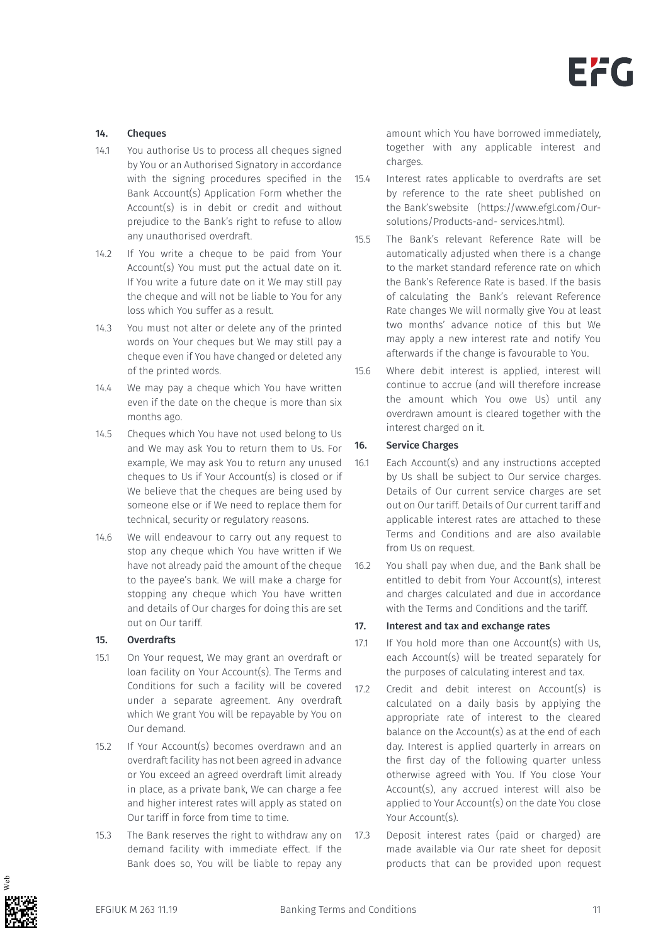#### 14. Cheques

- 14.1 You authorise Us to process all cheques signed by You or an Authorised Signatory in accordance with the signing procedures specified in the Bank Account(s) Application Form whether the Account(s) is in debit or credit and without prejudice to the Bank's right to refuse to allow any unauthorised overdraft.
- 14.2 If You write a cheque to be paid from Your Account(s) You must put the actual date on it. If You write a future date on it We may still pay the cheque and will not be liable to You for any loss which You suffer as a result.
- 14.3 You must not alter or delete any of the printed words on Your cheques but We may still pay a cheque even if You have changed or deleted any of the printed words.
- 14.4 We may pay a cheque which You have written even if the date on the cheque is more than six months ago.
- 14.5 Cheques which You have not used belong to Us and We may ask You to return them to Us. For example, We may ask You to return any unused cheques to Us if Your Account(s) is closed or if We believe that the cheques are being used by someone else or if We need to replace them for technical, security or regulatory reasons.
- 14.6 We will endeavour to carry out any request to stop any cheque which You have written if We have not already paid the amount of the cheque to the payee's bank. We will make a charge for stopping any cheque which You have written and details of Our charges for doing this are set out on Our tariff.

#### 15. Overdrafts

- 15.1 On Your request, We may grant an overdraft or loan facility on Your Account(s). The Terms and Conditions for such a facility will be covered under a separate agreement. Any overdraft which We grant You will be repayable by You on Our demand.
- 15.2 If Your Account(s) becomes overdrawn and an overdraft facility has not been agreed in advance or You exceed an agreed overdraft limit already in place, as a private bank, We can charge a fee and higher interest rates will apply as stated on Our tariff in force from time to time.
- 15.3 The Bank reserves the right to withdraw any on demand facility with immediate effect. If the Bank does so, You will be liable to repay any

amount which You have borrowed immediately, together with any applicable interest and charges.

- 15.4 Interest rates applicable to overdrafts are set by reference to the rate sheet published on the Bank'swebsite (https://www.efgl.com/Oursolutions/Products-and- services.html).
- 15.5 The Bank's relevant Reference Rate will be automatically adjusted when there is a change to the market standard reference rate on which the Bank's Reference Rate is based. If the basis of calculating the Bank's relevant Reference Rate changes We will normally give You at least two months' advance notice of this but We may apply a new interest rate and notify You afterwards if the change is favourable to You.
- 15.6 Where debit interest is applied, interest will continue to accrue (and will therefore increase the amount which You owe Us) until any overdrawn amount is cleared together with the interest charged on it.

#### 16. Service Charges

- 16.1 Each Account(s) and any instructions accepted by Us shall be subject to Our service charges. Details of Our current service charges are set out on Our tariff. Details of Our current tariff and applicable interest rates are attached to these Terms and Conditions and are also available from Us on request.
- 16.2 You shall pay when due, and the Bank shall be entitled to debit from Your Account(s), interest and charges calculated and due in accordance with the Terms and Conditions and the tariff.

#### 17. Interest and tax and exchange rates

- 17.1 If You hold more than one Account(s) with Us, each Account(s) will be treated separately for the purposes of calculating interest and tax.
- 17.2 Credit and debit interest on Account(s) is calculated on a daily basis by applying the appropriate rate of interest to the cleared balance on the Account(s) as at the end of each day. Interest is applied quarterly in arrears on the first day of the following quarter unless otherwise agreed with You. If You close Your Account(s), any accrued interest will also be applied to Your Account(s) on the date You close Your Account(s).
- 17.3 Deposit interest rates (paid or charged) are made available via Our rate sheet for deposit products that can be provided upon request

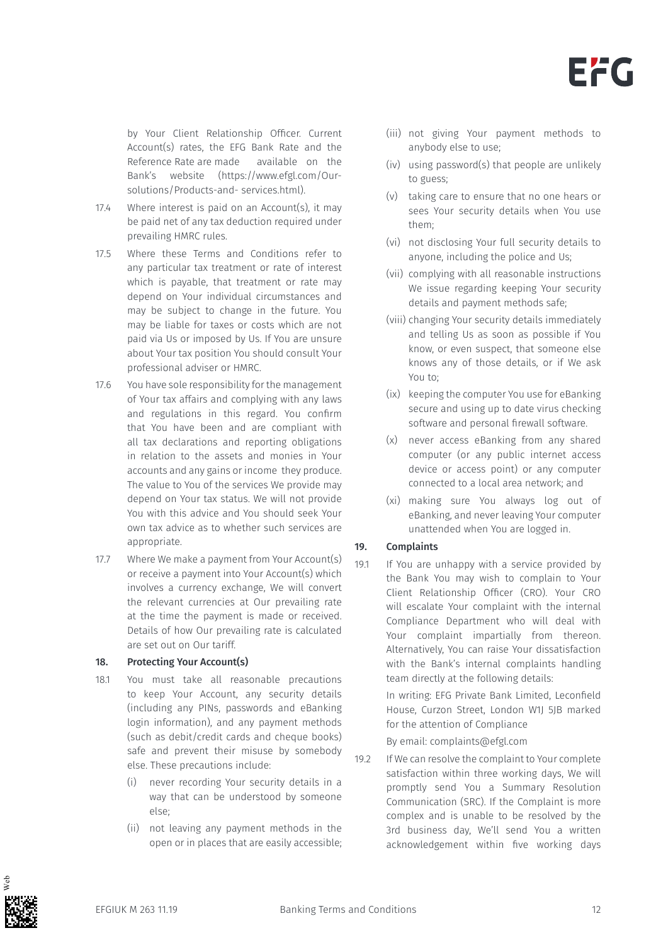

by Your Client Relationship Officer. Current Account(s) rates, the EFG Bank Rate and the Reference Rate are made available on the Bank's website (https://www.efgl.com/Oursolutions/Products-and- services.html).

- 17.4 Where interest is paid on an Account(s), it may be paid net of any tax deduction required under prevailing HMRC rules.
- 17.5 Where these Terms and Conditions refer to any particular tax treatment or rate of interest which is payable, that treatment or rate may depend on Your individual circumstances and may be subject to change in the future. You may be liable for taxes or costs which are not paid via Us or imposed by Us. If You are unsure about Your tax position You should consult Your professional adviser or HMRC.
- 17.6 You have sole responsibility for the management of Your tax affairs and complying with any laws and regulations in this regard. You confirm that You have been and are compliant with all tax declarations and reporting obligations in relation to the assets and monies in Your accounts and any gains or income they produce. The value to You of the services We provide may depend on Your tax status. We will not provide You with this advice and You should seek Your own tax advice as to whether such services are appropriate.
- 17.7 Where We make a payment from Your Account(s) or receive a payment into Your Account(s) which involves a currency exchange, We will convert the relevant currencies at Our prevailing rate at the time the payment is made or received. Details of how Our prevailing rate is calculated are set out on Our tariff.

#### 18. Protecting Your Account(s)

- 18.1 You must take all reasonable precautions to keep Your Account, any security details (including any PINs, passwords and eBanking login information), and any payment methods (such as debit/credit cards and cheque books) safe and prevent their misuse by somebody else. These precautions include:
	- (i) never recording Your security details in a way that can be understood by someone else;
	- (ii) not leaving any payment methods in the open or in places that are easily accessible;
- (iii) not giving Your payment methods to anybody else to use;
- (iv) using password(s) that people are unlikely to guess;
- (v) taking care to ensure that no one hears or sees Your security details when You use them;
- (vi) not disclosing Your full security details to anyone, including the police and Us;
- (vii) complying with all reasonable instructions We issue regarding keeping Your security details and payment methods safe;
- (viii) changing Your security details immediately and telling Us as soon as possible if You know, or even suspect, that someone else knows any of those details, or if We ask You to;
- (ix) keeping the computer You use for eBanking secure and using up to date virus checking software and personal firewall software.
- (x) never access eBanking from any shared computer (or any public internet access device or access point) or any computer connected to a local area network; and
- (xi) making sure You always log out of eBanking, and never leaving Your computer unattended when You are logged in.

#### 19. Complaints

19.1 If You are unhappy with a service provided by the Bank You may wish to complain to Your Client Relationship Officer (CRO). Your CRO will escalate Your complaint with the internal Compliance Department who will deal with Your complaint impartially from thereon. Alternatively, You can raise Your dissatisfaction with the Bank's internal complaints handling team directly at the following details:

> In writing: EFG Private Bank Limited, Leconfield House, Curzon Street, London W1J 5JB marked for the attention of Compliance

By email: complaints@efgl.com

19.2 If We can resolve the complaint to Your complete satisfaction within three working days, We will promptly send You a Summary Resolution Communication (SRC). If the Complaint is more complex and is unable to be resolved by the 3rd business day, We'll send You a written acknowledgement within five working days

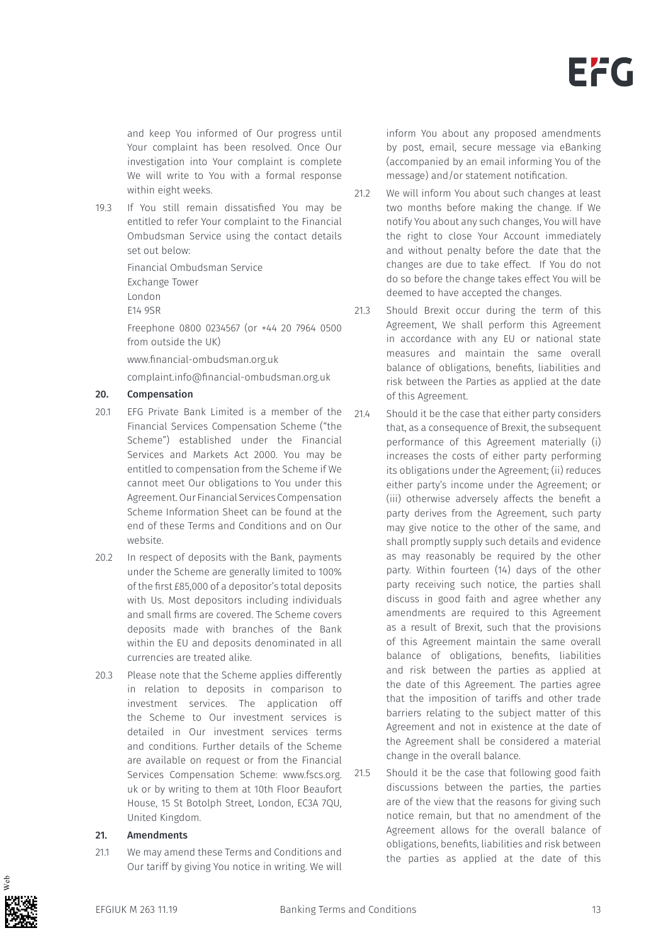and keep You informed of Our progress until Your complaint has been resolved. Once Our investigation into Your complaint is complete We will write to You with a formal response within eight weeks.

19.3 If You still remain dissatisfied You may be entitled to refer Your complaint to the Financial Ombudsman Service using the contact details set out below:

Financial Ombudsman Service

Exchange Tower

London

E14 9SR

Freephone 0800 0234567 (or +44 20 7964 0500 from outside the UK)

www.financial-ombudsman.org.uk

complaint.info@financial-ombudsman.org.uk

#### 20. Compensation

- 20.1 EFG Private Bank Limited is a member of the Financial Services Compensation Scheme ("the Scheme") established under the Financial Services and Markets Act 2000. You may be entitled to compensation from the Scheme if We cannot meet Our obligations to You under this Agreement. Our Financial Services Compensation Scheme Information Sheet can be found at the end of these Terms and Conditions and on Our website.
- 20.2 In respect of deposits with the Bank, payments under the Scheme are generally limited to 100% of the first £85,000 of a depositor's total deposits with Us. Most depositors including individuals and small firms are covered. The Scheme covers deposits made with branches of the Bank within the EU and deposits denominated in all currencies are treated alike.
- 20.3 Please note that the Scheme applies differently in relation to deposits in comparison to investment services. The application off the Scheme to Our investment services is detailed in Our investment services terms and conditions. Further details of the Scheme are available on request or from the Financial Services Compensation Scheme: www.fscs.org. uk or by writing to them at 10th Floor Beaufort House, 15 St Botolph Street, London, EC3A 7QU, United Kingdom.

#### 21. Amendments

21.1 We may amend these Terms and Conditions and Our tariff by giving You notice in writing. We will inform You about any proposed amendments by post, email, secure message via eBanking (accompanied by an email informing You of the message) and/or statement notification.

- 21.2 We will inform You about such changes at least two months before making the change. If We notify You about any such changes, You will have the right to close Your Account immediately and without penalty before the date that the changes are due to take effect. If You do not do so before the change takes effect You will be deemed to have accepted the changes.
- 21.3 Should Brexit occur during the term of this Agreement, We shall perform this Agreement in accordance with any EU or national state measures and maintain the same overall balance of obligations, benefits, liabilities and risk between the Parties as applied at the date of this Agreement.
- 21.4 Should it be the case that either party considers that, as a consequence of Brexit, the subsequent performance of this Agreement materially (i) increases the costs of either party performing its obligations under the Agreement; (ii) reduces either party's income under the Agreement; or (iii) otherwise adversely affects the benefit a party derives from the Agreement, such party may give notice to the other of the same, and shall promptly supply such details and evidence as may reasonably be required by the other party. Within fourteen (14) days of the other party receiving such notice, the parties shall discuss in good faith and agree whether any amendments are required to this Agreement as a result of Brexit, such that the provisions of this Agreement maintain the same overall balance of obligations, benefits, liabilities and risk between the parties as applied at the date of this Agreement. The parties agree that the imposition of tariffs and other trade barriers relating to the subject matter of this Agreement and not in existence at the date of the Agreement shall be considered a material change in the overall balance.

21.5 Should it be the case that following good faith discussions between the parties, the parties are of the view that the reasons for giving such notice remain, but that no amendment of the Agreement allows for the overall balance of obligations, benefits, liabilities and risk between the parties as applied at the date of this

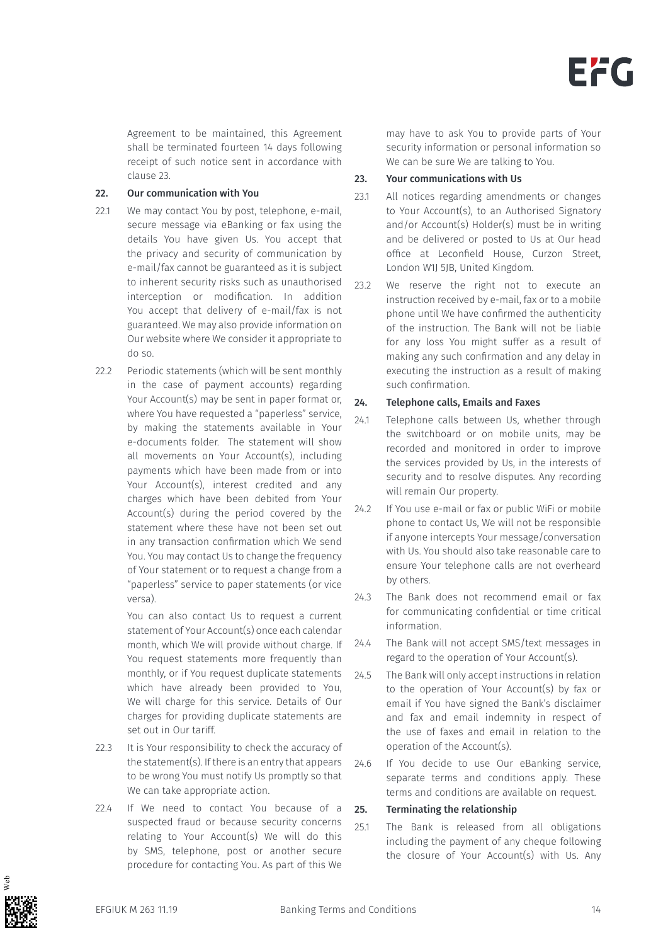Agreement to be maintained, this Agreement shall be terminated fourteen 14 days following receipt of such notice sent in accordance with clause 23.

#### 22. Our communication with You

- 22.1 We may contact You by post, telephone, e-mail, secure message via eBanking or fax using the details You have given Us. You accept that the privacy and security of communication by e-mail/fax cannot be guaranteed as it is subject to inherent security risks such as unauthorised interception or modification. In addition You accept that delivery of e-mail/fax is not guaranteed. We may also provide information on Our website where We consider it appropriate to do so.
- 22.2 Periodic statements (which will be sent monthly in the case of payment accounts) regarding Your Account(s) may be sent in paper format or, where You have requested a "paperless" service, by making the statements available in Your e-documents folder. The statement will show all movements on Your Account(s), including payments which have been made from or into Your Account(s), interest credited and any charges which have been debited from Your Account(s) during the period covered by the statement where these have not been set out in any transaction confirmation which We send You. You may contact Us to change the frequency of Your statement or to request a change from a "paperless" service to paper statements (or vice versa).

You can also contact Us to request a current statement of Your Account(s) once each calendar month, which We will provide without charge. If You request statements more frequently than monthly, or if You request duplicate statements which have already been provided to You, We will charge for this service. Details of Our charges for providing duplicate statements are set out in Our tariff.

- 22.3 It is Your responsibility to check the accuracy of the statement(s). If there is an entry that appears to be wrong You must notify Us promptly so that We can take appropriate action.
- 22.4 If We need to contact You because of a suspected fraud or because security concerns relating to Your Account(s) We will do this by SMS, telephone, post or another secure procedure for contacting You. As part of this We

may have to ask You to provide parts of Your security information or personal information so We can be sure We are talking to You.

#### 23. Your communications with Us

- 23.1 All notices regarding amendments or changes to Your Account(s), to an Authorised Signatory and/or Account(s) Holder(s) must be in writing and be delivered or posted to Us at Our head office at Leconfield House, Curzon Street, London W1J 5JB, United Kingdom.
- 23.2 We reserve the right not to execute an instruction received by e-mail, fax or to a mobile phone until We have confirmed the authenticity of the instruction. The Bank will not be liable for any loss You might suffer as a result of making any such confirmation and any delay in executing the instruction as a result of making such confirmation.

#### 24. Telephone calls, Emails and Faxes

- 24.1 Telephone calls between Us, whether through the switchboard or on mobile units, may be recorded and monitored in order to improve the services provided by Us, in the interests of security and to resolve disputes. Any recording will remain Our property.
- 24.2 If You use e-mail or fax or public WiFi or mobile phone to contact Us, We will not be responsible if anyone intercepts Your message/conversation with Us. You should also take reasonable care to ensure Your telephone calls are not overheard by others.
- 24.3 The Bank does not recommend email or fax for communicating confidential or time critical information.
- 24.4 The Bank will not accept SMS/text messages in regard to the operation of Your Account(s).
- 24.5 The Bank will only accept instructions in relation to the operation of Your Account(s) by fax or email if You have signed the Bank's disclaimer and fax and email indemnity in respect of the use of faxes and email in relation to the operation of the Account(s).
- 24.6 If You decide to use Our eBanking service, separate terms and conditions apply. These terms and conditions are available on request.

#### 25. Terminating the relationship

25.1 The Bank is released from all obligations including the payment of any cheque following the closure of Your Account(s) with Us. Any

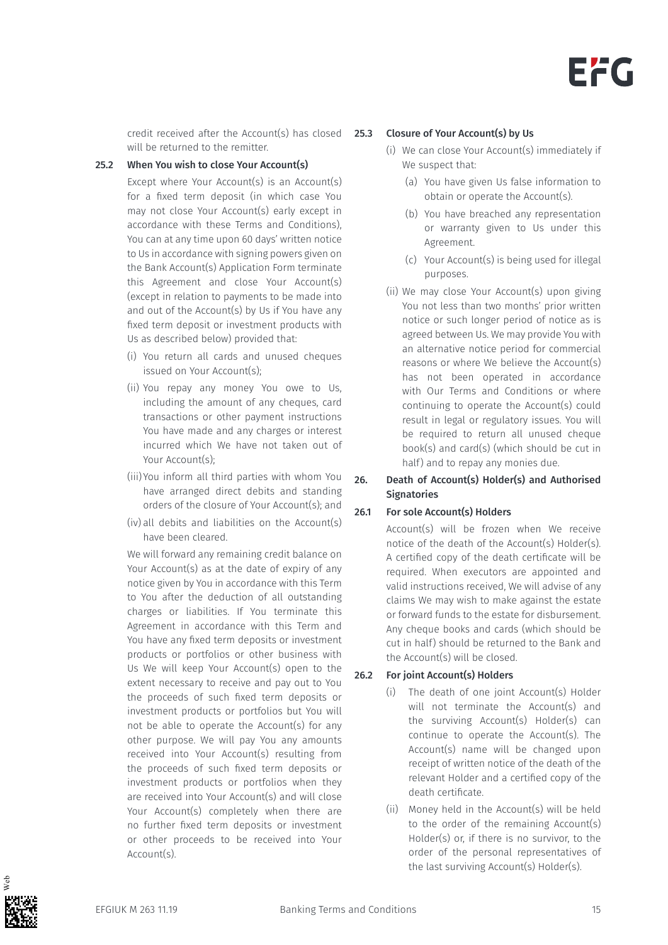credit received after the Account(s) has closed will be returned to the remitter.

#### 25.2 When You wish to close Your Account(s)

Except where Your Account(s) is an Account(s) for a fixed term deposit (in which case You may not close Your Account(s) early except in accordance with these Terms and Conditions), You can at any time upon 60 days' written notice to Us in accordance with signing powers given on the Bank Account(s) Application Form terminate this Agreement and close Your Account(s) (except in relation to payments to be made into and out of the Account(s) by Us if You have any fixed term deposit or investment products with Us as described below) provided that:

- (i) You return all cards and unused cheques issued on Your Account(s);
- (ii) You repay any money You owe to Us, including the amount of any cheques, card transactions or other payment instructions You have made and any charges or interest incurred which We have not taken out of Your Account(s);
- (iii) You inform all third parties with whom You have arranged direct debits and standing orders of the closure of Your Account(s); and
- (iv) all debits and liabilities on the Account(s) have been cleared.

We will forward any remaining credit balance on Your Account(s) as at the date of expiry of any notice given by You in accordance with this Term to You after the deduction of all outstanding charges or liabilities. If You terminate this Agreement in accordance with this Term and You have any fixed term deposits or investment products or portfolios or other business with Us We will keep Your Account(s) open to the extent necessary to receive and pay out to You the proceeds of such fixed term deposits or investment products or portfolios but You will not be able to operate the Account(s) for any other purpose. We will pay You any amounts received into Your Account(s) resulting from the proceeds of such fixed term deposits or investment products or portfolios when they are received into Your Account(s) and will close Your Account(s) completely when there are no further fixed term deposits or investment or other proceeds to be received into Your Account(s).

#### Closure of Your Account(s) by Us

- (i) We can close Your Account(s) immediately if We suspect that:
	- (a) You have given Us false information to obtain or operate the Account(s).
	- (b) You have breached any representation or warranty given to Us under this Agreement.
	- (c) Your Account(s) is being used for illegal purposes.
- (ii) We may close Your Account(s) upon giving You not less than two months' prior written notice or such longer period of notice as is agreed between Us. We may provide You with an alternative notice period for commercial reasons or where We believe the Account(s) has not been operated in accordance with Our Terms and Conditions or where continuing to operate the Account(s) could result in legal or regulatory issues. You will be required to return all unused cheque book(s) and card(s) (which should be cut in half) and to repay any monies due.

#### 26. Death of Account(s) Holder(s) and Authorised **Signatories**

#### 26.1 For sole Account(s) Holders

Account(s) will be frozen when We receive notice of the death of the Account(s) Holder(s). A certified copy of the death certificate will be required. When executors are appointed and valid instructions received, We will advise of any claims We may wish to make against the estate or forward funds to the estate for disbursement. Any cheque books and cards (which should be cut in half) should be returned to the Bank and the Account(s) will be closed.

#### 26.2 For joint Account(s) Holders

- (i) The death of one joint Account(s) Holder will not terminate the Account(s) and the surviving Account(s) Holder(s) can continue to operate the Account(s). The Account(s) name will be changed upon receipt of written notice of the death of the relevant Holder and a certified copy of the death certificate.
- (ii) Money held in the Account(s) will be held to the order of the remaining Account(s) Holder(s) or, if there is no survivor, to the order of the personal representatives of the last surviving Account(s) Holder(s).

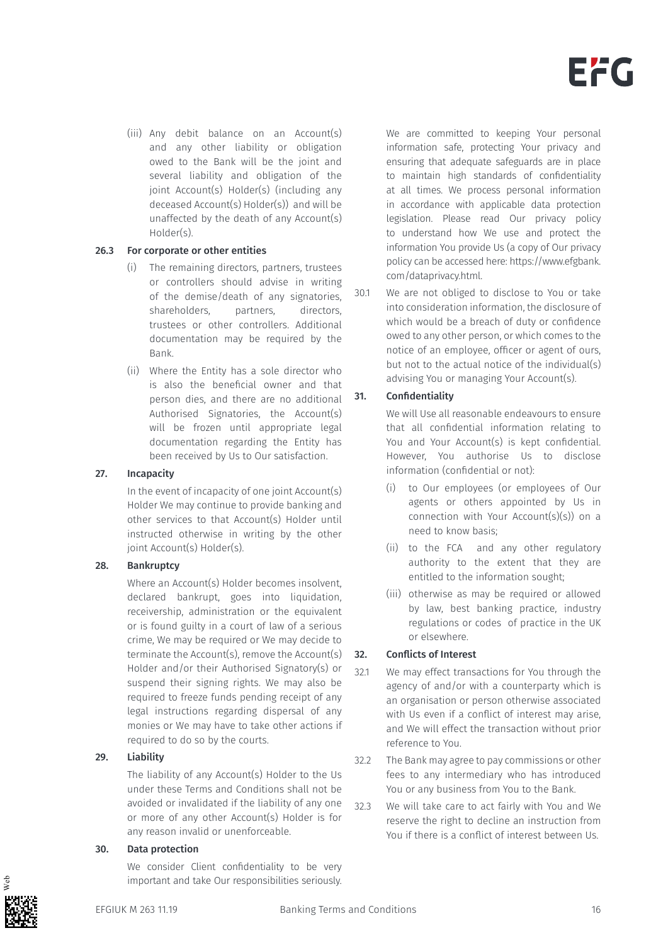(iii) Any debit balance on an Account(s) and any other liability or obligation owed to the Bank will be the joint and several liability and obligation of the joint Account(s) Holder(s) (including any deceased Account(s) Holder(s)) and will be unaffected by the death of any Account(s) Holder(s).

#### 26.3 For corporate or other entities

- (i) The remaining directors, partners, trustees or controllers should advise in writing of the demise/death of any signatories, shareholders, partners, directors, trustees or other controllers. Additional documentation may be required by the Bank.
- (ii) Where the Entity has a sole director who is also the beneficial owner and that person dies, and there are no additional Authorised Signatories, the Account(s) will be frozen until appropriate legal documentation regarding the Entity has been received by Us to Our satisfaction.

#### 27. Incapacity

In the event of incapacity of one joint Account(s) Holder We may continue to provide banking and other services to that Account(s) Holder until instructed otherwise in writing by the other joint Account(s) Holder(s).

#### 28. Bankruptcy

Where an Account(s) Holder becomes insolvent, declared bankrupt, goes into liquidation, receivership, administration or the equivalent or is found guilty in a court of law of a serious crime, We may be required or We may decide to terminate the Account(s), remove the Account(s) Holder and/or their Authorised Signatory(s) or suspend their signing rights. We may also be required to freeze funds pending receipt of any legal instructions regarding dispersal of any monies or We may have to take other actions if required to do so by the courts.

#### 29. Liability

The liability of any Account(s) Holder to the Us under these Terms and Conditions shall not be avoided or invalidated if the liability of any one or more of any other Account(s) Holder is for any reason invalid or unenforceable.

#### 30. Data protection

We consider Client confidentiality to be very important and take Our responsibilities seriously. We are committed to keeping Your personal information safe, protecting Your privacy and ensuring that adequate safeguards are in place to maintain high standards of confidentiality at all times. We process personal information in accordance with applicable data protection legislation. Please read Our privacy policy to understand how We use and protect the information You provide Us (a copy of Our privacy policy can be accessed here: https://www.efgbank. com/dataprivacy.html.

30.1 We are not obliged to disclose to You or take into consideration information, the disclosure of which would be a breach of duty or confidence owed to any other person, or which comes to the notice of an employee, officer or agent of ours, but not to the actual notice of the individual(s) advising You or managing Your Account(s).

#### 31. Confidentiality

We will Use all reasonable endeavours to ensure that all confidential information relating to You and Your Account(s) is kept confidential. However, You authorise Us to disclose information (confidential or not):

- (i) to Our employees (or employees of Our agents or others appointed by Us in connection with Your Account(s)(s)) on a need to know basis;
- (ii) to the FCA and any other regulatory authority to the extent that they are entitled to the information sought;
- (iii) otherwise as may be required or allowed by law, best banking practice, industry regulations or codes of practice in the UK or elsewhere.

#### 32. Conflicts of Interest

- 32.1 We may effect transactions for You through the agency of and/or with a counterparty which is an organisation or person otherwise associated with Us even if a conflict of interest may arise, and We will effect the transaction without prior reference to You.
- 32.2 The Bank may agree to pay commissions or other fees to any intermediary who has introduced You or any business from You to the Bank.
- 32.3 We will take care to act fairly with You and We reserve the right to decline an instruction from You if there is a conflict of interest between Us.

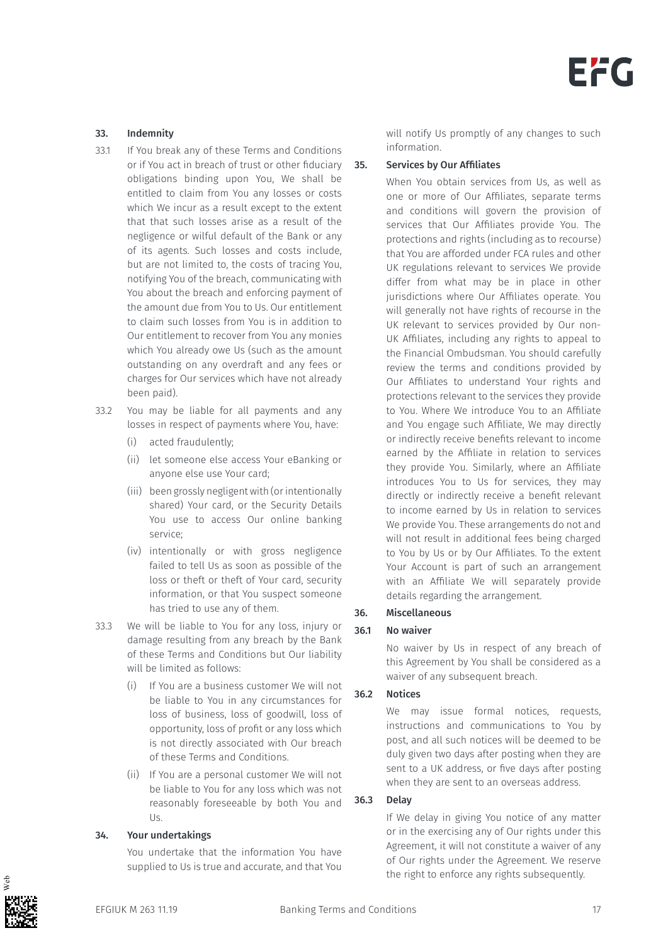#### 33. Indemnity

- 33.1 If You break any of these Terms and Conditions or if You act in breach of trust or other fiduciary obligations binding upon You, We shall be entitled to claim from You any losses or costs which We incur as a result except to the extent that that such losses arise as a result of the negligence or wilful default of the Bank or any of its agents. Such losses and costs include, but are not limited to, the costs of tracing You, notifying You of the breach, communicating with You about the breach and enforcing payment of the amount due from You to Us. Our entitlement to claim such losses from You is in addition to Our entitlement to recover from You any monies which You already owe Us (such as the amount outstanding on any overdraft and any fees or charges for Our services which have not already been paid).
- 33.2 You may be liable for all payments and any losses in respect of payments where You, have:
	- (i) acted fraudulently;
	- (ii) let someone else access Your eBanking or anyone else use Your card;
	- (iii) been grossly negligent with (or intentionally shared) Your card, or the Security Details You use to access Our online banking service;
	- (iv) intentionally or with gross negligence failed to tell Us as soon as possible of the loss or theft or theft of Your card, security information, or that You suspect someone has tried to use any of them.
- 33.3 We will be liable to You for any loss, injury or damage resulting from any breach by the Bank of these Terms and Conditions but Our liability will be limited as follows:
	- (i) If You are a business customer We will not be liable to You in any circumstances for loss of business, loss of goodwill, loss of opportunity, loss of profit or any loss which is not directly associated with Our breach of these Terms and Conditions.
	- (ii) If You are a personal customer We will not be liable to You for any loss which was not reasonably foreseeable by both You and Us.

#### 34. Your undertakings

You undertake that the information You have supplied to Us is true and accurate, and that You

will notify Us promptly of any changes to such information.

#### 35. Services by Our Affiliates

When You obtain services from Us, as well as one or more of Our Affiliates, separate terms and conditions will govern the provision of services that Our Affiliates provide You. The protections and rights (including as to recourse) that You are afforded under FCA rules and other UK regulations relevant to services We provide differ from what may be in place in other jurisdictions where Our Affiliates operate. You will generally not have rights of recourse in the UK relevant to services provided by Our non-UK Affiliates, including any rights to appeal to the Financial Ombudsman. You should carefully review the terms and conditions provided by Our Affiliates to understand Your rights and protections relevant to the services they provide to You. Where We introduce You to an Affiliate and You engage such Affiliate, We may directly or indirectly receive benefits relevant to income earned by the Affiliate in relation to services they provide You. Similarly, where an Affiliate introduces You to Us for services, they may directly or indirectly receive a benefit relevant to income earned by Us in relation to services We provide You. These arrangements do not and will not result in additional fees being charged to You by Us or by Our Affiliates. To the extent Your Account is part of such an arrangement with an Affiliate We will separately provide details regarding the arrangement.

#### 36. Miscellaneous

#### 36.1 No waiver

No waiver by Us in respect of any breach of this Agreement by You shall be considered as a waiver of any subsequent breach.

### 36.2 Notices

We may issue formal notices, requests, instructions and communications to You by post, and all such notices will be deemed to be duly given two days after posting when they are sent to a UK address, or five days after posting when they are sent to an overseas address.

#### 36.3 Delay

If We delay in giving You notice of any matter or in the exercising any of Our rights under this Agreement, it will not constitute a waiver of any of Our rights under the Agreement. We reserve the right to enforce any rights subsequently.

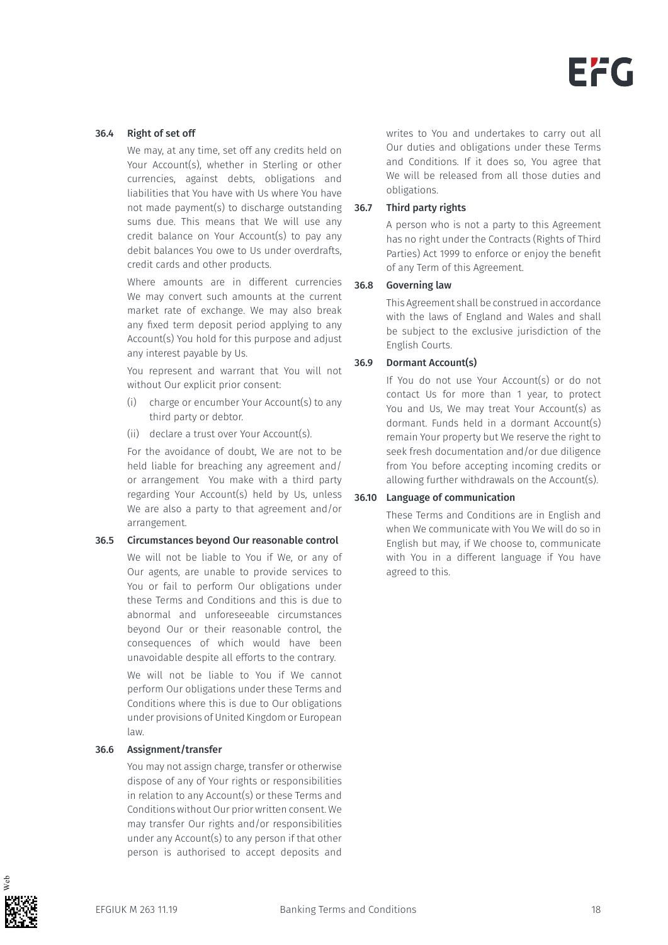#### 36.4 Right of set off

We may, at any time, set off any credits held on Your Account(s), whether in Sterling or other currencies, against debts, obligations and liabilities that You have with Us where You have not made payment(s) to discharge outstanding sums due. This means that We will use any credit balance on Your Account(s) to pay any debit balances You owe to Us under overdrafts, credit cards and other products.

Where amounts are in different currencies We may convert such amounts at the current market rate of exchange. We may also break any fixed term deposit period applying to any Account(s) You hold for this purpose and adjust any interest payable by Us.

You represent and warrant that You will not without Our explicit prior consent:

- (i) charge or encumber Your Account(s) to any third party or debtor.
- (ii) declare a trust over Your Account(s).

For the avoidance of doubt, We are not to be held liable for breaching any agreement and/ or arrangement You make with a third party regarding Your Account(s) held by Us, unless We are also a party to that agreement and/or arrangement.

#### 36.5 Circumstances beyond Our reasonable control

We will not be liable to You if We, or any of Our agents, are unable to provide services to You or fail to perform Our obligations under these Terms and Conditions and this is due to abnormal and unforeseeable circumstances beyond Our or their reasonable control, the consequences of which would have been unavoidable despite all efforts to the contrary.

We will not be liable to You if We cannot perform Our obligations under these Terms and Conditions where this is due to Our obligations under provisions of United Kingdom or European law.

#### 36.6 Assignment/transfer

You may not assign charge, transfer or otherwise dispose of any of Your rights or responsibilities in relation to any Account(s) or these Terms and Conditions without Our prior written consent. We may transfer Our rights and/or responsibilities under any Account(s) to any person if that other person is authorised to accept deposits and writes to You and undertakes to carry out all Our duties and obligations under these Terms and Conditions. If it does so, You agree that We will be released from all those duties and obligations.

#### 36.7 Third party rights

A person who is not a party to this Agreement has no right under the Contracts (Rights of Third Parties) Act 1999 to enforce or enjoy the benefit of any Term of this Agreement.

#### 36.8 Governing law

This Agreement shall be construed in accordance with the laws of England and Wales and shall be subject to the exclusive jurisdiction of the English Courts.

#### 36.9 Dormant Account(s)

If You do not use Your Account(s) or do not contact Us for more than 1 year, to protect You and Us, We may treat Your Account(s) as dormant. Funds held in a dormant Account(s) remain Your property but We reserve the right to seek fresh documentation and/or due diligence from You before accepting incoming credits or allowing further withdrawals on the Account(s).

#### 36.10 Language of communication

These Terms and Conditions are in English and when We communicate with You We will do so in English but may, if We choose to, communicate with You in a different language if You have agreed to this.

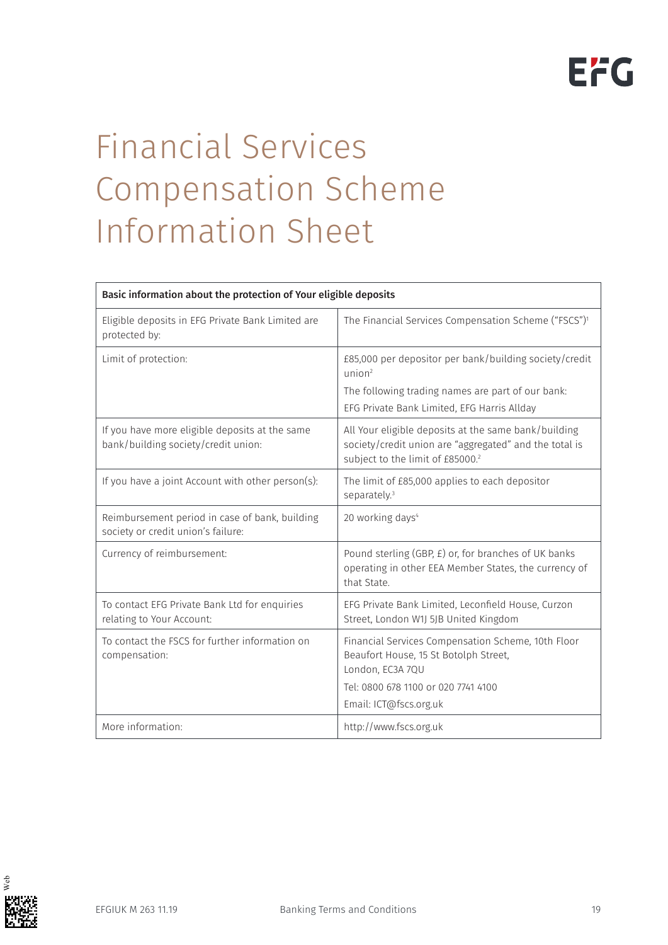# Financial Services Compensation Scheme Information Sheet

| Basic information about the protection of Your eligible deposits                      |                                                                                                                                                                                  |
|---------------------------------------------------------------------------------------|----------------------------------------------------------------------------------------------------------------------------------------------------------------------------------|
| Eligible deposits in EFG Private Bank Limited are<br>protected by:                    | The Financial Services Compensation Scheme ("FSCS") <sup>1</sup>                                                                                                                 |
| Limit of protection:                                                                  | £85,000 per depositor per bank/building society/credit<br>union <sup>2</sup><br>The following trading names are part of our bank:<br>EFG Private Bank Limited, EFG Harris Allday |
| If you have more eligible deposits at the same<br>bank/building society/credit union: | All Your eligible deposits at the same bank/building<br>society/credit union are "aggregated" and the total is<br>subject to the limit of £85000.2                               |
| If you have a joint Account with other person(s):                                     | The limit of £85,000 applies to each depositor<br>separately. <sup>3</sup>                                                                                                       |
| Reimbursement period in case of bank, building<br>society or credit union's failure:  | 20 working days <sup>4</sup>                                                                                                                                                     |
| Currency of reimbursement:                                                            | Pound sterling (GBP, £) or, for branches of UK banks<br>operating in other EEA Member States, the currency of<br>that State.                                                     |
| To contact EFG Private Bank Ltd for enquiries<br>relating to Your Account:            | EFG Private Bank Limited, Leconfield House, Curzon<br>Street, London W1J 5JB United Kingdom                                                                                      |
| To contact the FSCS for further information on<br>compensation:                       | Financial Services Compensation Scheme, 10th Floor<br>Beaufort House, 15 St Botolph Street,<br>London, EC3A 7QU<br>Tel: 0800 678 1100 or 020 7741 4100<br>Email: ICT@fscs.org.uk |
| More information:                                                                     | http://www.fscs.org.uk                                                                                                                                                           |

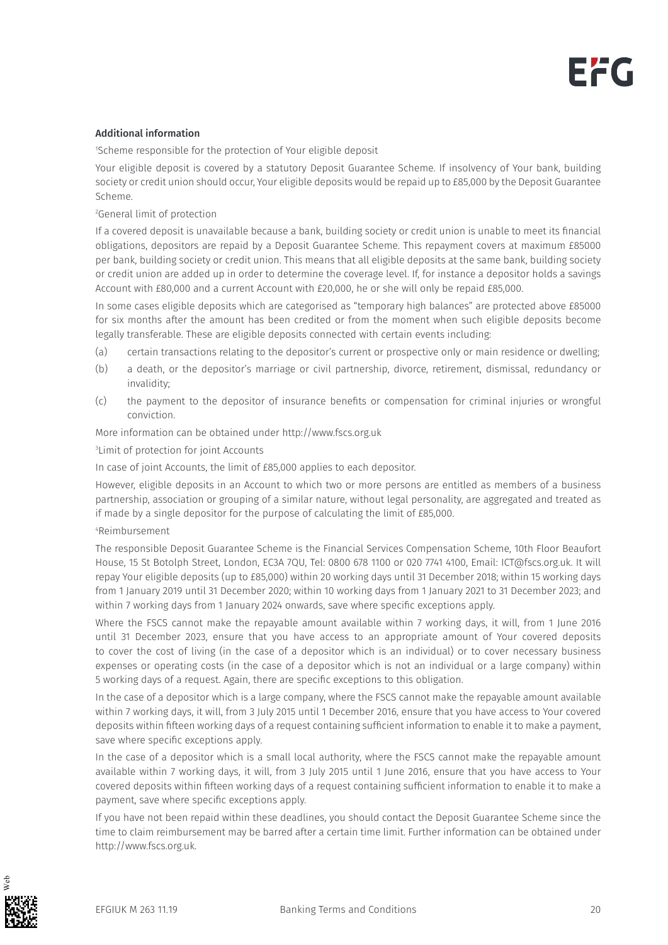#### Additional information

1 Scheme responsible for the protection of Your eligible deposit

Your eligible deposit is covered by a statutory Deposit Guarantee Scheme. If insolvency of Your bank, building society or credit union should occur, Your eligible deposits would be repaid up to £85,000 by the Deposit Guarantee Scheme.

2 General limit of protection

If a covered deposit is unavailable because a bank, building society or credit union is unable to meet its financial obligations, depositors are repaid by a Deposit Guarantee Scheme. This repayment covers at maximum £85000 per bank, building society or credit union. This means that all eligible deposits at the same bank, building society or credit union are added up in order to determine the coverage level. If, for instance a depositor holds a savings Account with £80,000 and a current Account with £20,000, he or she will only be repaid £85,000.

In some cases eligible deposits which are categorised as "temporary high balances" are protected above £85000 for six months after the amount has been credited or from the moment when such eligible deposits become legally transferable. These are eligible deposits connected with certain events including:

- (a) certain transactions relating to the depositor's current or prospective only or main residence or dwelling;
- (b) a death, or the depositor's marriage or civil partnership, divorce, retirement, dismissal, redundancy or invalidity;
- (c) the payment to the depositor of insurance benefits or compensation for criminal injuries or wrongful conviction.

More information can be obtained under http://www.fscs.org.uk

3 Limit of protection for joint Accounts

In case of joint Accounts, the limit of £85,000 applies to each depositor.

However, eligible deposits in an Account to which two or more persons are entitled as members of a business partnership, association or grouping of a similar nature, without legal personality, are aggregated and treated as if made by a single depositor for the purpose of calculating the limit of £85,000.

#### 4 Reimbursement

The responsible Deposit Guarantee Scheme is the Financial Services Compensation Scheme, 10th Floor Beaufort House, 15 St Botolph Street, London, EC3A 7QU, Tel: 0800 678 1100 or 020 7741 4100, Email: ICT@fscs.org.uk. It will repay Your eligible deposits (up to £85,000) within 20 working days until 31 December 2018; within 15 working days from 1 January 2019 until 31 December 2020; within 10 working days from 1 January 2021 to 31 December 2023; and within 7 working days from 1 January 2024 onwards, save where specific exceptions apply.

Where the FSCS cannot make the repayable amount available within 7 working days, it will, from 1 June 2016 until 31 December 2023, ensure that you have access to an appropriate amount of Your covered deposits to cover the cost of living (in the case of a depositor which is an individual) or to cover necessary business expenses or operating costs (in the case of a depositor which is not an individual or a large company) within 5 working days of a request. Again, there are specific exceptions to this obligation.

In the case of a depositor which is a large company, where the FSCS cannot make the repayable amount available within 7 working days, it will, from 3 July 2015 until 1 December 2016, ensure that you have access to Your covered deposits within fifteen working days of a request containing sufficient information to enable it to make a payment, save where specific exceptions apply.

In the case of a depositor which is a small local authority, where the FSCS cannot make the repayable amount available within 7 working days, it will, from 3 July 2015 until 1 June 2016, ensure that you have access to Your covered deposits within fifteen working days of a request containing sufficient information to enable it to make a payment, save where specific exceptions apply.

If you have not been repaid within these deadlines, you should contact the Deposit Guarantee Scheme since the time to claim reimbursement may be barred after a certain time limit. Further information can be obtained under http://www.fscs.org.uk.

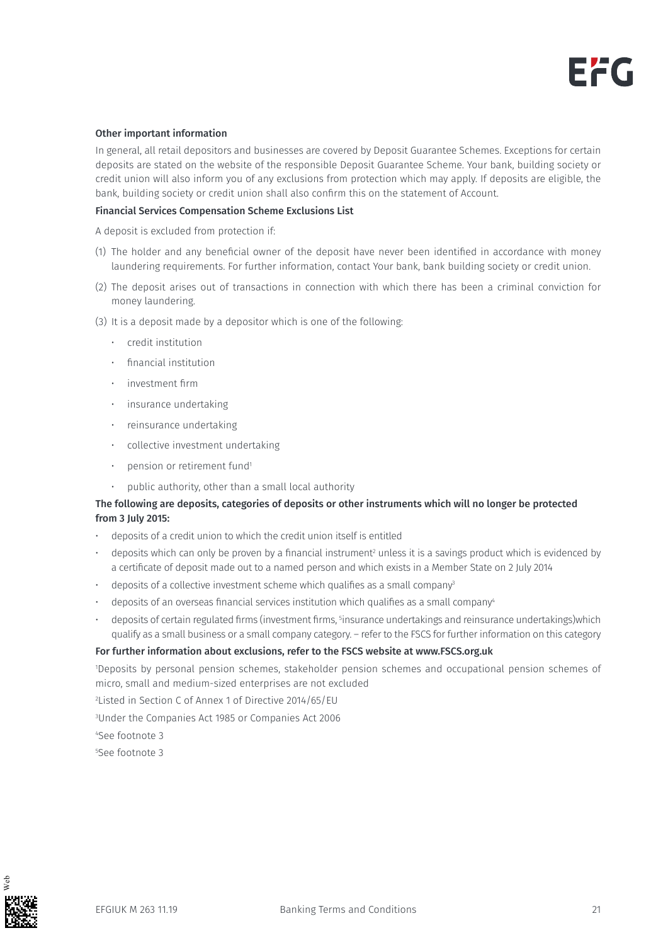#### Other important information

In general, all retail depositors and businesses are covered by Deposit Guarantee Schemes. Exceptions for certain deposits are stated on the website of the responsible Deposit Guarantee Scheme. Your bank, building society or credit union will also inform you of any exclusions from protection which may apply. If deposits are eligible, the bank, building society or credit union shall also confirm this on the statement of Account.

#### Financial Services Compensation Scheme Exclusions List

A deposit is excluded from protection if:

- (1) The holder and any beneficial owner of the deposit have never been identified in accordance with money laundering requirements. For further information, contact Your bank, bank building society or credit union.
- (2) The deposit arises out of transactions in connection with which there has been a criminal conviction for money laundering.
- (3) It is a deposit made by a depositor which is one of the following:
	- credit institution
	- financial institution
	- investment firm
	- insurance undertaking
	- reinsurance undertaking
	- collective investment undertaking
	- pension or retirement fund<sup>1</sup>
	- public authority, other than a small local authority

#### The following are deposits, categories of deposits or other instruments which will no longer be protected from 3 July 2015:

- deposits of a credit union to which the credit union itself is entitled
- $\cdot$  deposits which can only be proven by a financial instrument $^2$  unless it is a savings product which is evidenced by a certificate of deposit made out to a named person and which exists in a Member State on 2 July 2014
- deposits of a collective investment scheme which qualifies as a small company<sup>3</sup>
- deposits of an overseas financial services institution which qualifies as a small company<sup>4</sup>
- $\cdot$  deposits of certain regulated firms (investment firms,  $5$ insurance undertakings and reinsurance undertakings)which qualify as a small business or a small company category. – refer to the FSCS for further information on this category

#### For further information about exclusions, refer to the FSCS website at www.FSCS.org.uk

1 Deposits by personal pension schemes, stakeholder pension schemes and occupational pension schemes of micro, small and medium-sized enterprises are not excluded

2 Listed in Section C of Annex 1 of Directive 2014/65/EU

3 Under the Companies Act 1985 or Companies Act 2006

4 See footnote 3

5 See footnote 3